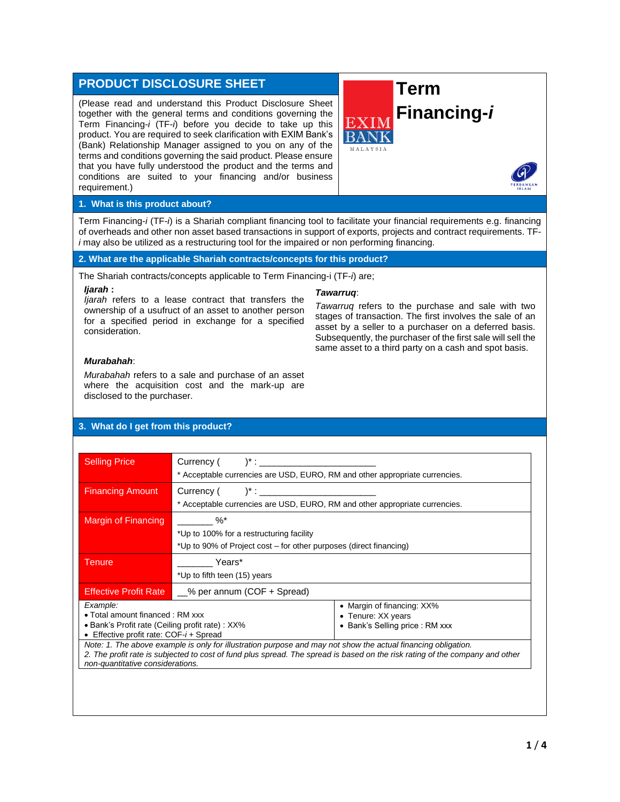# **PRODUCT DISCLOSURE SHEET**

(Please read and understand this Product Disclosure Sheet together with the general terms and conditions governing the Term Financing-*i* (TF-*i*) before you decide to take up this product. You are required to seek clarification with EXIM Bank's (Bank) Relationship Manager assigned to you on any of the terms and conditions governing the said product. Please ensure that you have fully understood the product and the terms and conditions are suited to your financing and/or business requirement.)



#### **1. What is this product about?**

Term Financing-*i* (TF-*i*) is a Shariah compliant financing tool to facilitate your financial requirements e.g. financing of overheads and other non asset based transactions in support of exports, projects and contract requirements. TF*i* may also be utilized as a restructuring tool for the impaired or non performing financing.

### **2. What are the applicable Shariah contracts/concepts for this product?**

The Shariah contracts/concepts applicable to Term Financing-i (TF-*i*) are;

#### *Ijarah* **:**

#### *Tawarruq*:

*Ijarah* refers to a lease contract that transfers the ownership of a usufruct of an asset to another person for a specified period in exchange for a specified consideration.

*Tawarruq* refers to the purchase and sale with two stages of transaction. The first involves the sale of an asset by a seller to a purchaser on a deferred basis. Subsequently, the purchaser of the first sale will sell the same asset to a third party on a cash and spot basis.

#### *Murabahah*:

*Murabahah* refers to a sale and purchase of an asset where the acquisition cost and the mark-up are disclosed to the purchaser.

# **3. What do I get from this product?**

| <b>Selling Price</b>                                                                                                                                                                                                                                                                                                                                                                                                               | $Current($ $)^{*}$ :<br>* Acceptable currencies are USD, EURO, RM and other appropriate currencies.                      |                                                                                     |  |
|------------------------------------------------------------------------------------------------------------------------------------------------------------------------------------------------------------------------------------------------------------------------------------------------------------------------------------------------------------------------------------------------------------------------------------|--------------------------------------------------------------------------------------------------------------------------|-------------------------------------------------------------------------------------|--|
| <b>Financing Amount</b>                                                                                                                                                                                                                                                                                                                                                                                                            | * Acceptable currencies are USD, EURO, RM and other appropriate currencies.                                              |                                                                                     |  |
| Margin of Financing                                                                                                                                                                                                                                                                                                                                                                                                                | $\%^*$<br>*Up to 100% for a restructuring facility<br>*Up to 90% of Project cost – for other purposes (direct financing) |                                                                                     |  |
| Tenure                                                                                                                                                                                                                                                                                                                                                                                                                             | Years*<br>*Up to fifth teen (15) years                                                                                   |                                                                                     |  |
| <b>Effective Profit Rate</b>                                                                                                                                                                                                                                                                                                                                                                                                       | $\_\%$ per annum (COF + Spread)                                                                                          |                                                                                     |  |
| Example:<br>• Total amount financed: RM xxx<br>• Bank's Profit rate (Ceiling profit rate) : XX%<br>• Effective profit rate: $COF-i + S$ pread<br>Note: 1. The above example is only for illustration purpose and may not show the actual financing obligation.<br>2. The profit rate is subjected to cost of fund plus spread. The spread is based on the risk rating of the company and other<br>non-quantitative considerations. |                                                                                                                          | • Margin of financing: XX%<br>• Tenure: XX years<br>• Bank's Selling price : RM xxx |  |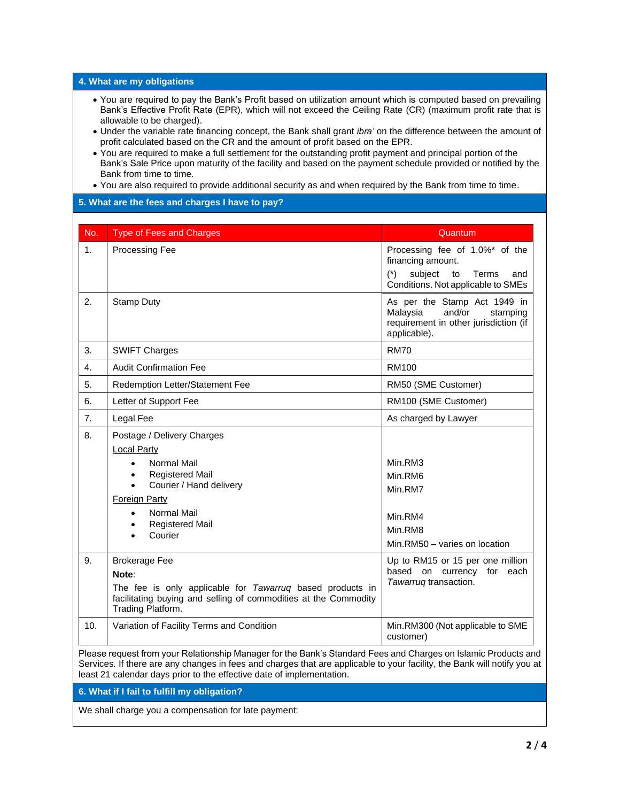#### **4. What are my obligations**

- You are required to pay the Bank's Profit based on utilization amount which is computed based on prevailing Bank's Effective Profit Rate (EPR), which will not exceed the Ceiling Rate (CR) (maximum profit rate that is allowable to be charged).
- Under the variable rate financing concept, the Bank shall grant *ibra'* on the difference between the amount of profit calculated based on the CR and the amount of profit based on the EPR.
- You are required to make a full settlement for the outstanding profit payment and principal portion of the Bank's Sale Price upon maturity of the facility and based on the payment schedule provided or notified by the Bank from time to time.
- You are also required to provide additional security as and when required by the Bank from time to time.

# **5. What are the fees and charges I have to pay?**

| No. | <b>Type of Fees and Charges</b>                                                                                                                                                                                                                                          | Quantum                                                                                                                             |
|-----|--------------------------------------------------------------------------------------------------------------------------------------------------------------------------------------------------------------------------------------------------------------------------|-------------------------------------------------------------------------------------------------------------------------------------|
| 1.  | <b>Processing Fee</b>                                                                                                                                                                                                                                                    | Processing fee of 1.0%* of the<br>financing amount.<br>subject<br>$(*)$<br>to<br>Terms<br>and<br>Conditions. Not applicable to SMEs |
| 2.  | <b>Stamp Duty</b>                                                                                                                                                                                                                                                        | As per the Stamp Act 1949 in<br>and/or<br>Malaysia<br>stamping<br>requirement in other jurisdiction (if<br>applicable).             |
| 3.  | <b>SWIFT Charges</b>                                                                                                                                                                                                                                                     | <b>RM70</b>                                                                                                                         |
| 4.  | <b>Audit Confirmation Fee</b>                                                                                                                                                                                                                                            | <b>RM100</b>                                                                                                                        |
| 5.  | Redemption Letter/Statement Fee                                                                                                                                                                                                                                          | RM50 (SME Customer)                                                                                                                 |
| 6.  | Letter of Support Fee                                                                                                                                                                                                                                                    | RM100 (SME Customer)                                                                                                                |
| 7.  | Legal Fee                                                                                                                                                                                                                                                                | As charged by Lawyer                                                                                                                |
| 8.  | Postage / Delivery Charges<br><b>Local Party</b><br><b>Normal Mail</b><br>$\bullet$<br><b>Registered Mail</b><br>$\bullet$<br>Courier / Hand delivery<br>$\bullet$<br><b>Foreign Party</b><br>Normal Mail<br>$\bullet$<br><b>Registered Mail</b><br>$\bullet$<br>Courier | Min.RM3<br>Min.RM6<br>Min.RM7<br>Min.RM4<br>Min.RM8<br>Min.RM50 - varies on location                                                |
| 9.  | <b>Brokerage Fee</b><br>Note:<br>The fee is only applicable for Tawarruq based products in<br>facilitating buying and selling of commodities at the Commodity<br>Trading Platform.                                                                                       | Up to RM15 or 15 per one million<br>based on currency for each<br>Tawarruq transaction.                                             |
| 10. | Variation of Facility Terms and Condition                                                                                                                                                                                                                                | Min.RM300 (Not applicable to SME<br>customer)                                                                                       |

Services. If there are any changes in fees and charges that are applicable to your facility, the Bank will notify you at least 21 calendar days prior to the effective date of implementation.

**6. What if I fail to fulfill my obligation?**

We shall charge you a compensation for late payment: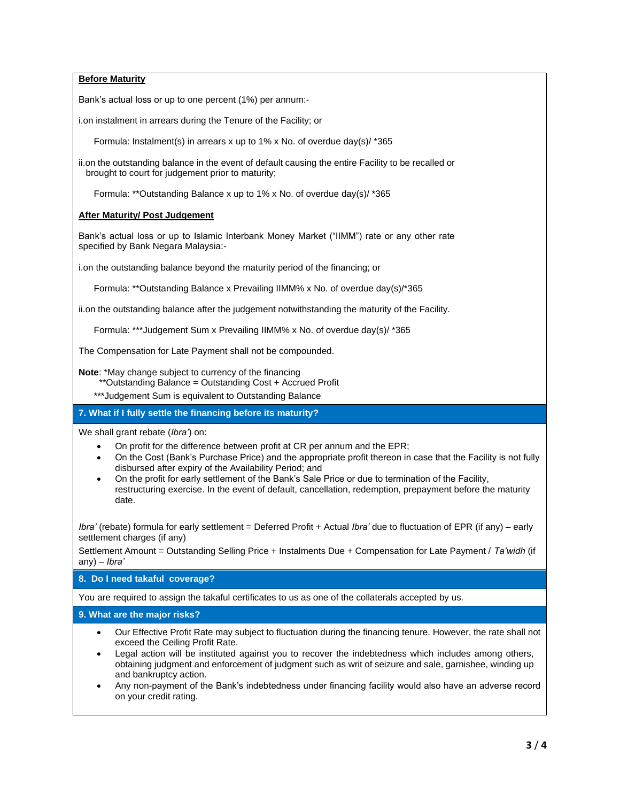**Before Maturity**

Bank's actual loss or up to one percent (1%) per annum:-

i.on instalment in arrears during the Tenure of the Facility; or

Formula: Instalment(s) in arrears x up to 1% x No. of overdue day(s)/ \*365

ii.on the outstanding balance in the event of default causing the entire Facility to be recalled or brought to court for judgement prior to maturity;

Formula: \*\*Outstanding Balance x up to 1% x No. of overdue day(s)/ \*365

## **After Maturity/ Post Judgement**

Bank's actual loss or up to Islamic Interbank Money Market ("IIMM") rate or any other rate specified by Bank Negara Malaysia:-

i.on the outstanding balance beyond the maturity period of the financing; or

Formula: \*\*Outstanding Balance x Prevailing IIMM% x No. of overdue day(s)/\*365

ii.on the outstanding balance after the judgement notwithstanding the maturity of the Facility.

Formula: \*\*\*Judgement Sum x Prevailing IIMM% x No. of overdue day(s)/ \*365

The Compensation for Late Payment shall not be compounded.

**Note**: \*May change subject to currency of the financing

- \*\*Outstanding Balance = Outstanding Cost + Accrued Profit
- \*\*\*Judgement Sum is equivalent to Outstanding Balance

**7. What if I fully settle the financing before its maturity?**

We shall grant rebate (*Ibra'*) on:

- On profit for the difference between profit at CR per annum and the EPR;
- On the Cost (Bank's Purchase Price) and the appropriate profit thereon in case that the Facility is not fully disbursed after expiry of the Availability Period; and
- On the profit for early settlement of the Bank's Sale Price or due to termination of the Facility, restructuring exercise. In the event of default, cancellation, redemption, prepayment before the maturity date.

*Ibra'* (rebate) formula for early settlement = Deferred Profit + Actual *Ibra'* due to fluctuation of EPR (if any) – early settlement charges (if any)

Settlement Amount = Outstanding Selling Price + Instalments Due + Compensation for Late Payment / *Ta'widh* (if any) – *Ibra'* 

# **8. Do I need takaful coverage?**

You are required to assign the takaful certificates to us as one of the collaterals accepted by us.

**9. What are the major risks?**

- Our Effective Profit Rate may subject to fluctuation during the financing tenure. However, the rate shall not exceed the Ceiling Profit Rate.
- Legal action will be instituted against you to recover the indebtedness which includes among others, obtaining judgment and enforcement of judgment such as writ of seizure and sale, garnishee, winding up and bankruptcy action.
- Any non-payment of the Bank's indebtedness under financing facility would also have an adverse record on your credit rating.